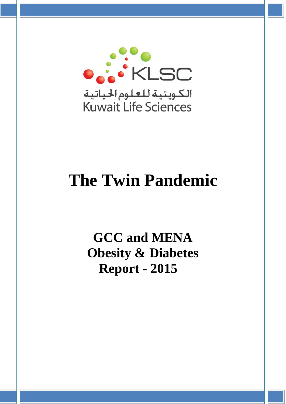

[Type text]

# **The Twin Pandemic**

**GCC and MENA Obesity & Diabetes Report - 2015**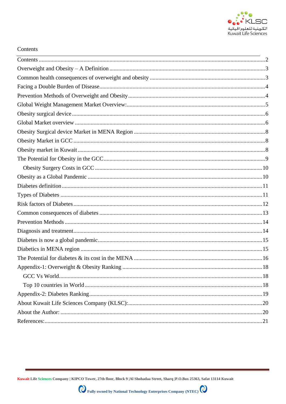

#### <span id="page-1-0"></span>Contents

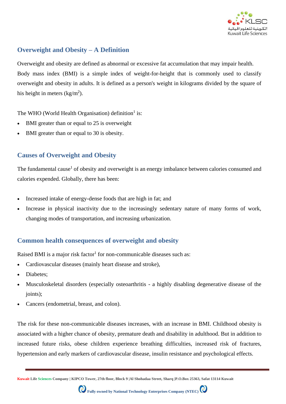

## <span id="page-2-0"></span>**Overweight and Obesity – A Definition**

Overweight and obesity are defined as abnormal or excessive fat accumulation that may impair health. Body mass index (BMI) is a simple index of weight-for-height that is commonly used to classify overweight and obesity in adults. It is defined as a person's weight in kilograms divided by the square of his height in meters  $\frac{\text{kg}}{m^2}$ .

The WHO (World Health Organisation) definition<sup>1</sup> is:

- BMI greater than or equal to 25 is overweight
- BMI greater than or equal to 30 is obesity.

## **Causes of Overweight and Obesity**

The fundamental cause<sup>1</sup> of obesity and overweight is an energy imbalance between calories consumed and calories expended. Globally, there has been:

- Increased intake of energy-dense foods that are high in fat; and
- Increase in physical inactivity due to the increasingly sedentary nature of many forms of work, changing modes of transportation, and increasing urbanization.

## <span id="page-2-1"></span>**Common health consequences of overweight and obesity**

Raised BMI is a major risk factor<sup>1</sup> for non-communicable diseases such as:

- Cardiovascular diseases (mainly heart disease and stroke),
- Diabetes;
- Musculoskeletal disorders (especially osteoarthritis a highly disabling degenerative disease of the joints);
- Cancers (endometrial, breast, and colon).

The risk for these non-communicable diseases increases, with an increase in BMI. Childhood obesity is associated with a higher chance of obesity, premature death and disability in adulthood. But in addition to increased future risks, obese children experience breathing difficulties, increased risk of fractures, hypertension and early markers of cardiovascular disease, insulin resistance and psychological effects.

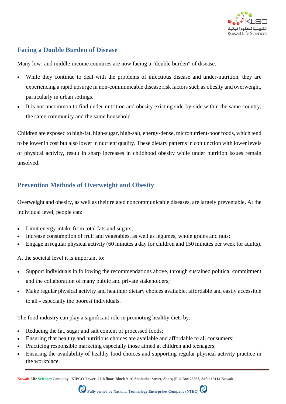

## <span id="page-3-0"></span>**Facing a Double Burden of Disease**

Many low- and middle-income countries are now facing a "double burden" of disease.

- While they continue to deal with the problems of infectious disease and under-nutrition, they are experiencing a rapid upsurge in non-communicable disease risk factors such as obesity and overweight, particularly in urban settings.
- It is not uncommon to find under-nutrition and obesity existing side-by-side within the same country, the same community and the same household.

Children are exposed to high-fat, high-sugar, high-salt, energy-dense, micronutrient-poor foods, which tend to be lower in cost but also lower in nutrient quality. These dietary patterns in conjunction with lower levels of physical activity, result in sharp increases in childhood obesity while under nutrition issues remain unsolved.

## <span id="page-3-1"></span>**Prevention Methods of Overweight and Obesity**

Overweight and obesity, as well as their related noncommunicable diseases, are largely preventable. At the individual level, people can:

- Limit energy intake from total fats and sugars;
- Increase consumption of fruit and vegetables, as well as legumes, whole grains and nuts;
- Engage in regular physical activity (60 minutes a day for children and 150 minutes per week for adults).

At the societal level it is important to:

- Support individuals in following the recommendations above, through sustained political commitment and the collaboration of many public and private stakeholders;
- Make regular physical activity and healthier dietary choices available, affordable and easily accessible to all - especially the poorest individuals.

The food industry can play a significant role in promoting healthy diets by:

- Reducing the fat, sugar and salt content of processed foods;
- Ensuring that healthy and nutritious choices are available and affordable to all consumers;
- Practicing responsible marketing especially those aimed at children and teenagers;
- Ensuring the availability of healthy food choices and supporting regular physical activity practice in the workplace.

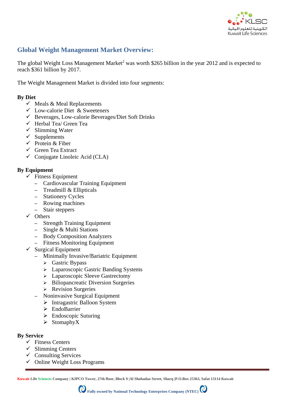

## <span id="page-4-0"></span>**Global Weight Management Market Overview:**

The global Weight Loss Management Market<sup>2</sup> was worth \$265 billion in the year 2012 and is expected to reach \$361 billion by 2017.

The Weight Management Market is divided into four segments:

#### **By Diet**

- $\checkmark$  Meals & Meal Replacements
- $\checkmark$  Low-calorie Diet & Sweeteners
- $\checkmark$  Beverages, Low-calorie Beverages/Diet Soft Drinks
- Herbal Tea/ Green Tea
- $\checkmark$  Slimming Water
- $\checkmark$  Supplements
- $\checkmark$  Protein & Fiber
- $\checkmark$  Green Tea Extract
- $\checkmark$  Conjugate Linoleic Acid (CLA)

#### **By Equipment**

- $\checkmark$  Fitness Equipment
	- Cardiovascular Training Equipment
	- Treadmill & Ellipticals
	- Stationery Cycles
	- Rowing machines
	- Stair steppers
- $\checkmark$  Others
	- Strength Training Equipment
	- Single & Multi Stations
	- Body Composition Analyzers
	- Fitness Monitoring Equipment
- $\checkmark$  Surgical Equipment
	- Minimally Invasive/Bariatric Equipment
		- Gastric Bypass
		- > Laparoscopic Gastric Banding Systems
		- > Laparoscopic Sleeve Gastrectomy
		- $\triangleright$  Biliopancreatic Diversion Surgeries
		- $\triangleright$  Revision Surgeries
	- Noninvasive Surgical Equipment
		- > Intragastric Balloon System
		- > EndoBarrier
		- Endoscopic Suturing
		- $\triangleright$  StomaphyX

#### **By Service**

- $\checkmark$  Fitness Centers
- $\checkmark$  Slimming Centers
- $\checkmark$  Consulting Services
- $\checkmark$  Online Weight Loss Programs

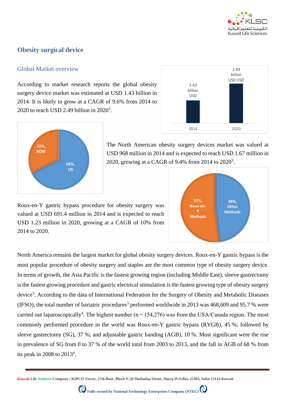

## <span id="page-5-1"></span><span id="page-5-0"></span>**Obesity surgical device**

#### Global Market overview

According to market research reports the global obesity surgery device market was estimated at USD 1.43 billion in 2014. It is likely to grow at a CAGR of 9.6% from 2014 to 2020 to reach USD 2.49 billion in  $2020^3$ .



1.43 billion USD 2.49 billion USD USD 2014 2020

The North American obesity surgery devices market was valued at USD 968 million in 2014 and is expected to reach USD 1.67 million in 2020, growing at a CAGR of 9.4% from 2014 to  $2020^3$ .



Roux-en-Y gastric bypass procedure for obesity surgery was valued at USD 691.4 million in 2014 and is expected to reach USD 1.23 million in 2020, growing at a CAGR of 10% from 2014 to 2020.

North America remains the largest market for global obesity surgery devices. Roux-en-Y gastric bypass is the most popular procedure of obesity surgery and staples are the most common type of obesity surgery device. In terms of growth, the Asia Pacific is the fastest growing region (including Middle East), sleeve gastrectomy is the fastest growing procedure and gastric electrical stimulation is the fastest growing type of obesity surgery device<sup>3</sup>. According to the data of International Federation for the Surgery of Obesity and Metabolic Diseases (IFSO), the total number of bariatric procedures<sup>3</sup> performed worldwide in 2013 was  $468,609$  and  $95.7$  % were carried out laparoscopically<sup>4</sup>. The highest number ( $n = 154,276$ ) was from the USA/Canada region. The most commonly performed procedure in the world was Roux-en-Y gastric bypass (RYGB), 45 %; followed by sleeve gastrectomy (SG), 37 %; and adjustable gastric banding (AGB), 10 %. Most significant were the rise in prevalence of SG from 0 to 37 % of the world total from 2003 to 2013, and the fall in AGB of 68 % from its peak in 2008 to 2013<sup>4</sup> .

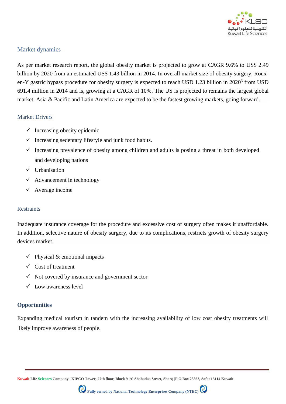

### Market dynamics

As per market research report, the global obesity market is projected to grow at CAGR 9.6% to US\$ 2.49 billion by 2020 from an estimated US\$ 1.43 billion in 2014. In overall market size of obesity surgery, Rouxen-Y gastric bypass procedure for obesity surgery is expected to reach USD 1.23 billion in 2020<sup>3</sup> from USD 691.4 million in 2014 and is, growing at a CAGR of 10%. The US is projected to remains the largest global market. Asia & Pacific and Latin America are expected to be the fastest growing markets, going forward.

#### Market Drivers

- $\checkmark$  Increasing obesity epidemic
- $\checkmark$  Increasing sedentary lifestyle and junk food habits.
- $\checkmark$  Increasing prevalence of obesity among children and adults is posing a threat in both developed and developing nations
- $\checkmark$  Urbanisation
- $\checkmark$  Advancement in technology
- $\checkmark$  Average income

#### **Restraints**

Inadequate insurance coverage for the procedure and excessive cost of surgery often makes it unaffordable. In addition, selective nature of obesity surgery, due to its complications, restricts growth of obesity surgery devices market.

- $\checkmark$  Physical & emotional impacts
- $\checkmark$  Cost of treatment
- $\checkmark$  Not covered by insurance and government sector
- $\checkmark$  Low awareness level

#### **Opportunities**

Expanding medical tourism in tandem with the increasing availability of low cost obesity treatments will likely improve awareness of people.

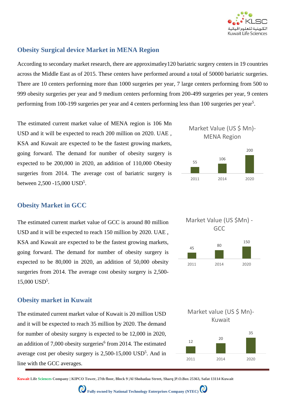

## <span id="page-7-0"></span>**Obesity Surgical device Market in MENA Region**

According to secondary market research, there are approximatley120 bariatric surgery centers in 19 countries across the Middle East as of 2015. These centers have performed around a total of 50000 bariatric surgeries. There are 10 centers performing more than 1000 surgeries per year, 7 large centers performing from 500 to 999 obesity surgeries per year and 9 medium centers performing from 200-499 surgeries per year, 9 centers performing from 100-199 surgeries per year and 4 centers performing less than 100 surgeries per year<sup>5</sup>.

The estimated current market value of MENA region is 106 Mn USD and it will be expected to reach 200 million on 2020. UAE , KSA and Kuwait are expected to be the fastest growing markets, going forward. The demand for number of obesity surgery is expected to be 200,000 in 2020, an addition of 110,000 Obesity surgeries from 2014. The average cost of bariatric surgery is between 2,500 -15,000 USD<sup>5</sup>.

#### <span id="page-7-1"></span>**Obesity Market in GCC**

The estimated current market value of GCC is around 80 million USD and it will be expected to reach 150 million by 2020. UAE , KSA and Kuwait are expected to be the fastest growing markets, going forward. The demand for number of obesity surgery is expected to be 80,000 in 2020, an addition of 50,000 obesity surgeries from 2014. The average cost obesity surgery is 2,500- 15,000 USD<sup>5</sup>.

#### <span id="page-7-2"></span>**Obesity market in Kuwait**

The estimated current market value of Kuwait is 20 million USD and it will be expected to reach 35 million by 2020. The demand for number of obesity surgery is expected to be 12,000 in 2020, an addition of 7,000 obesity surgeries<sup>6</sup> from 2014. The estimated average cost per obesity surgery is  $2,500-15,000$  USD<sup>5</sup>. And in line with the GCC averages.





2011 2014 2020



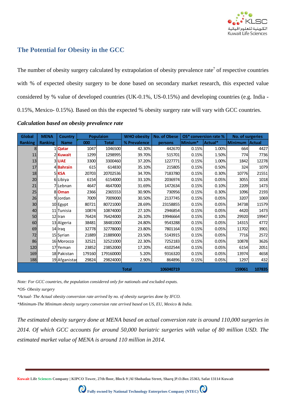

## <span id="page-8-0"></span>**The Potential for Obesity in the GCC**

The number of obesity surgery calculated by extrapolation of obesity prevalence rate<sup>7</sup> of respective countries with % of expected obesity surgery to be done based on secondary market research, this expected value considered by % value of developed countries (UK-0.1%, US-0.15%) and developing countries (e.g. India - 0.15%, Mexico- 0.15%). Based on this the expected % obesity surgery rate will vary with GCC countries.

*Calculation based on obesity prevalence rate*

| Global                              | <b>MENA</b>    | <b>Country</b> | <b>Populaion</b> |              | <b>WHO obesity</b> | <b>No. of Obese</b> | <b>OS*</b> conversion rate % |         | No. of surgeries |               |
|-------------------------------------|----------------|----------------|------------------|--------------|--------------------|---------------------|------------------------------|---------|------------------|---------------|
| <b>Ranking</b>                      | <b>Ranking</b> | <b>Name</b>    | 000              | <b>Total</b> | % Prevalence       | persons             | Minium*                      | Actual* | <b>Minimum</b>   | <b>Actual</b> |
| 8                                   |                | 1 <b>Qatar</b> | 1047             | 1046500      | 42.30%             | 442670              | 0.15%                        | 1.00%   | 664              | 4427          |
| 11                                  |                | 2 Kuwait       | 1299             | 1298995      | 39.70%             | 515701              | 0.15%                        | 1.50%   | 774              | 7736          |
| 13                                  |                | 3UAE           | 3300             | 3300460      | 37.20%             | 1227771             | 0.15%                        | 1.00%   | 1842             | 12278         |
| 17                                  |                | 4 Bahrain      | 615              | 614830       | 35.10%             | 215805              | 0.15%                        | 0.50%   | 324              | 1079          |
| 18                                  |                | 5KSA           | 20703            | 20702536     | 34.70%             | 7183780             | 0.15%                        | 0.30%   | 10776            | 21551         |
| 20                                  |                | 6 Libiya       | 6154             | 6154000      | 33.10%             | 2036974             | 0.15%                        | 0.05%   | 3055             | 1018          |
| 21                                  |                | 7Lebnan        | 4647             | 4647000      | 31.69%             | 1472634             | 0.15%                        | 0.10%   | 2209             | 1473          |
| 25                                  |                | 8 <b>Oman</b>  | 2366             | 2365553      | 30.90%             | 730956              | 0.15%                        | 0.30%   | 1096             | 2193          |
| 26                                  |                | 9Jordan        | 7009             | 7009000      | 30.50%             | 2137745             | 0.15%                        | 0.05%   | 3207             | 1069          |
| 30                                  |                | 10 Egypt       | 80721            | 80721000     | 28.69%             | 23158855            | 0.15%                        | 0.05%   | 34738            | 11579         |
| 40                                  |                | 11 Tunisia     | 10874            | 10874000     | 27.10%             | 2946854             | 0.15%                        | 0.05%   | 4420             | 1473          |
| 50                                  |                | $12$  Iran     | 76424            | 76424000     | 26.10%             | 19946664            | 0.15%                        | 0.10%   | 29920            | 19947         |
| 60                                  |                | 13 Algeria     | 38481            | 38481000     | 24.80%             | 9543288             | 0.15%                        | 0.05%   | 14315            | 4772          |
| 69                                  |                | 14 Iraq        | 32778            | 32778000     | 23.80%             | 7801164             | 0.15%                        | 0.05%   | 11702            | 3901          |
| 72                                  |                | 15 Syrian      | 21889            | 21889000     | 23.50%             | 5143915             | 0.15%                        | 0.05%   | 7716             | 2572          |
| 86                                  |                | 16 Morocco     | 32521            | 32521000     | 22.30%             | 7252183             | 0.15%                        | 0.05%   | 10878            | 3626          |
| 120                                 |                | 17 Yeman       | 23852            | 23852000     | 17.20%             | 4102544             | 0.15%                        | 0.05%   | 6154             | 2051          |
| 169                                 |                | 18 Pakistan    | 179160           | 179160000    | 5.20%              | 9316320             | 0.15%                        | 0.05%   | 13974            | 4658          |
| 188                                 |                | 19 Afganistar  | 29824            | 29824000     | 2.90%              | 864896              | 0.15%                        | 0.05%   | 1297             | 432           |
| <b>Total</b><br>106040719<br>159061 |                |                |                  |              |                    |                     |                              |         |                  | 107835        |

*Note: For GCC countries, the population considered only for nationals and excluded expats.*

*\*OS- Obesity surgery*

*\*Actual- The Actual obesity conversion rate arrived by no. of obesity surgeries done by IFCO.*

*\*Minimum-The Minimum obesity surgery conversion rate arrived based on US, EU, Mexico & India.*

*The estimated obesity surgery done at MENA based on actual conversion rate is around 110,000 surgeries in 2014. Of which GCC accounts for around 50,000 bariatric surgeries with value of 80 million USD. The estimated market value of MENA is around 110 million in 2014.*

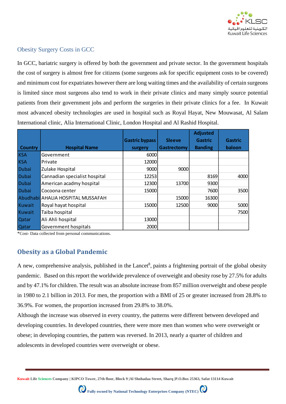

## <span id="page-9-0"></span>Obesity Surgery Costs in GCC

In GCC, bariatric surgery is offered by both the government and private sector. In the government hospitals the cost of surgery is almost free for citizens (some surgeons ask for specific equipment costs to be covered) and minimum cost for expatriates however there are long waiting times and the availability of certain surgeons is limited since most surgeons also tend to work in their private clinics and many simply source potential patients from their government jobs and perform the surgeries in their private clinics for a fee. In Kuwait most advanced obesity technologies are used in hospital such as Royal Hayat, New Mouwasat, Al Salam International clinic, Alia International Clinic, London Hospital and Al Rashid Hospital.

|                |                                   |                       |               | <b>Adjusted</b> |                |
|----------------|-----------------------------------|-----------------------|---------------|-----------------|----------------|
|                |                                   | <b>Gastric bypass</b> | <b>Sleeve</b> | <b>Gastric</b>  | <b>Gastric</b> |
| <b>Country</b> | <b>Hospital Name</b>              | surgery               | Gastrectomy   | <b>Banding</b>  | baloon         |
| <b>KSA</b>     | Government                        | 6000                  |               |                 |                |
| <b>KSA</b>     | Private                           | 12000                 |               |                 |                |
| <b>Dubai</b>   | Zulake Hospital                   | 9000                  | 9000          |                 |                |
| <b>Dubai</b>   | Cannadian specialist hospital     | 12253                 |               | 8169            | 4000           |
| <b>Dubai</b>   | American acadmy hospital          | 12300                 | 13700         | 9300            |                |
| <b>Dubai</b>   | Cocoona center                    | 15000                 |               | 7600            | 3500           |
|                | Abudhabi AHALIA HOSPITAL MUSSAFAH |                       | 15000         | 16300           |                |
| Kuwait         | Royal hayat hospital              | 15000                 | 12500         | 9000            | 5000           |
| Kuwait         | Taiba hospital                    |                       |               |                 | 7500           |
| <b>Qatar</b>   | Ali Ahli hospital                 | 13000                 |               |                 |                |
| <b>Qatar</b>   | Government hospitals              | 2000                  |               |                 |                |

<span id="page-9-1"></span>\*Cost- Data collected from personal communications.

## **Obesity as a Global Pandemic**

A new, comprehensive analysis, published in the Lancet<sup>8</sup>, paints a frightening portrait of the global obesity pandemic. Based on this report the worldwide prevalence of overweight and obesity rose by 27.5% for adults and by 47.1% for children. The result was an absolute increase from 857 million overweight and obese people in 1980 to 2.1 billion in 2013. For men, the proportion with a BMI of 25 or greater increased from 28.8% to 36.9%. For women, the proportion increased from 29.8% to 38.0%.

Although the increase was observed in every country, the patterns were different between developed and developing countries. In developed countries, there were more men than women who were overweight or obese; in developing countries, the pattern was reversed. In 2013, nearly a quarter of children and adolescents in developed countries were overweight or obese.

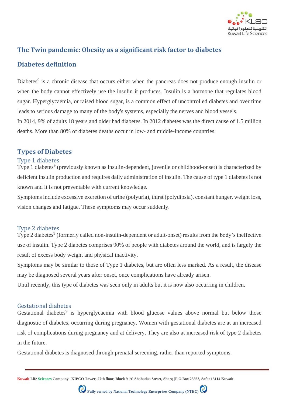

## **The Twin pandemic: Obesity as a significant risk factor to diabetes**

## <span id="page-10-0"></span>**Diabetes definition**

Diabetes<sup>9</sup> is a chronic disease that occurs either when the pancreas does not produce enough insulin or when the body cannot effectively use the insulin it produces. Insulin is a hormone that regulates blood sugar. Hyperglycaemia, or raised blood sugar, is a common effect of uncontrolled diabetes and over time leads to serious damage to many of the body's systems, especially the nerves and blood vessels. In 2014, 9% of adults 18 years and older had diabetes. In 2012 diabetes was the direct cause of 1.5 million deaths. More than 80% of diabetes deaths occur in low- and middle-income countries.

#### <span id="page-10-1"></span>**Types of Diabetes**

#### Type 1 diabetes

Type 1 diabetes<sup>9</sup> (previously known as insulin-dependent, juvenile or childhood-onset) is characterized by deficient insulin production and requires daily administration of insulin. The cause of type 1 diabetes is not known and it is not preventable with current knowledge.

Symptoms include excessive excretion of urine (polyuria), thirst (polydipsia), constant hunger, weight loss, vision changes and fatigue. These symptoms may occur suddenly.

#### Type 2 diabetes

Type 2 diabetes<sup>9</sup> (formerly called non-insulin-dependent or adult-onset) results from the body's ineffective use of insulin. Type 2 diabetes comprises 90% of people with diabetes around the world, and is largely the result of excess body weight and physical inactivity.

Symptoms may be similar to those of Type 1 diabetes, but are often less marked. As a result, the disease may be diagnosed several years after onset, once complications have already arisen.

Until recently, this type of diabetes was seen only in adults but it is now also occurring in children.

#### Gestational diabetes

Gestational diabetes<sup>9</sup> is hyperglycaemia with blood glucose values above normal but below those diagnostic of diabetes, occurring during pregnancy. Women with gestational diabetes are at an increased risk of complications during pregnancy and at delivery. They are also at increased risk of type 2 diabetes in the future.

Gestational diabetes is diagnosed through prenatal screening, rather than reported symptoms.

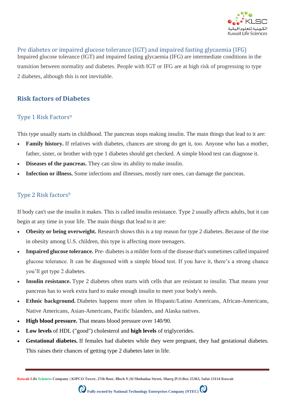

Pre diabetes or impaired glucose tolerance (IGT) and impaired fasting glycaemia (IFG) Impaired glucose tolerance (IGT) and impaired fasting glycaemia (IFG) are intermediate conditions in the transition between normality and diabetes. People with IGT or IFG are at high risk of progressing to type 2 diabetes, although this is not inevitable.

## <span id="page-11-0"></span>**Risk factors of Diabetes**

#### Type 1 Risk Factors<sup>9</sup>

This type usually starts in childhood. The pancreas stops making insulin. The main things that lead to it are:

- **Family history.** If relatives with diabetes, chances are strong do get it, too. Anyone who has a mother, father, sister, or brother with type 1 diabetes should get checked. A simple blood test can diagnose it.
- **Diseases of the pancreas.** They can slow its ability to make insulin.
- **Infection or illness.** Some infections and illnesses, mostly rare ones, can damage the pancreas.

## Type 2 Risk factors<sup>9</sup>

If body can't use the insulin it makes. This is called insulin resistance. Type 2 usually affects adults, but it can begin at any time in your life. The main things that lead to it are:

- **Obesity or being overweight.** Research shows this is a top reason for type 2 diabetes. Because of the rise in obesity among U.S. children, this type is affecting more teenagers.
- **Impaired glucose tolerance.** Pre- diabetes is a milder form of the disease that's sometimes called impaired glucose tolerance. It can be diagnosed with a simple blood test. If you have it, there's a strong chance you'll get type 2 diabetes.
- **Insulin resistance.** Type 2 diabetes often starts with cells that are resistant to insulin. That means your pancreas has to work extra hard to make enough insulin to meet your body's needs.
- **Ethnic background.** Diabetes happens more often in Hispanic/Latino Americans, African-Americans, Native Americans, Asian-Americans, Pacific Islanders, and Alaska natives.
- **[High blood pressure.](http://www.webmd.com/hypertension-high-blood-pressure/default.htm)** That means blood pressure over 140/90.
- **Low levels** of HDL ("good") [cholesterol](http://www.webmd.com/cholesterol-management/default.htm) and **high levels** of triglycerides.
- **Gestational diabetes.** If females had diabetes while they were [pregnant,](http://www.webmd.com/baby/pregnancy-toc-old) they had gestational diabetes. This raises their chances of getting type 2 diabetes later in life.

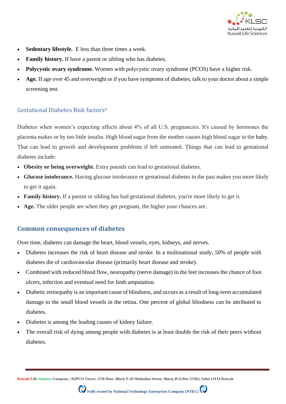

- **Sedentary lifestyle.** [E](http://www.webmd.com/fitness-exercise/guide/default.htm) less than three times a week.
- **Family history.** If have a parent or sibling who has diabetes.
- **Polycystic ovary syndrome.** Women with polycystic ovary syndrome (PCOS) have a higher risk.
- **Age.** If age over 45 and overweight or if you have symptoms of diabetes, talk to your doctor about a simple screening test.

#### Gestational Diabetes Risk factors<sup>9</sup>

Diabetes when women's expecting affects about 4% of all U.S. pregnancies. It's caused by hormones the placenta makes or by too little insulin. High blood sugar from the mother causes high blood sugar in the baby. That can lead to growth and development problems if left untreated. Things that can lead to gestational diabetes include:

- **Obesity or being overweight.** Extra pounds can lead to gestational diabetes.
- **Glucose intolerance.** Having glucose intolerance or gestational diabetes in the past makes you more likely to get it again.
- **Family history.** If a parent or sibling has had gestational diabetes, you're more likely to get it.
- <span id="page-12-0"></span>**Age.** The older people are when they get pregnant, the higher your chances are.

#### **Common consequences of diabetes**

Over time, diabetes can damage the heart, blood vessels, eyes, kidneys, and nerves.

- Diabetes increases the risk of heart disease and stroke. In a multinational study, 50% of people with diabetes die of cardiovascular disease (primarily heart disease and stroke).
- Combined with reduced blood flow, neuropathy (nerve damage) in the feet increases the chance of foot ulcers, infection and eventual need for limb amputation.
- Diabetic retinopathy is an important cause of blindness, and occurs as a result of long-term accumulated damage to the small blood vessels in the retina. One percent of global blindness can be attributed to diabetes.
- Diabetes is among the leading causes of kidney failure.
- The overall risk of dying among people with diabetes is at least double the risk of their peers without diabetes.

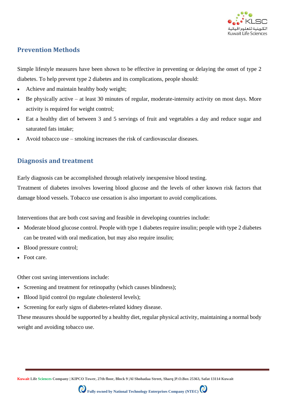

## <span id="page-13-0"></span>**Prevention Methods**

Simple lifestyle measures have been shown to be effective in preventing or delaying the onset of type 2 diabetes. To help prevent type 2 diabetes and its complications, people should:

- Achieve and maintain healthy body weight;
- Be physically active at least 30 minutes of regular, moderate-intensity activity on most days. More activity is required for weight control;
- Eat a healthy diet of between 3 and 5 servings of fruit and vegetables a day and reduce sugar and saturated fats intake;
- <span id="page-13-1"></span>Avoid tobacco use – smoking increases the risk of cardiovascular diseases.

## **Diagnosis and treatment**

Early diagnosis can be accomplished through relatively inexpensive blood testing.

Treatment of diabetes involves lowering blood glucose and the levels of other known risk factors that damage blood vessels. Tobacco use cessation is also important to avoid complications.

Interventions that are both cost saving and feasible in developing countries include:

- Moderate blood glucose control. People with type 1 diabetes require insulin; people with type 2 diabetes can be treated with oral medication, but may also require insulin;
- Blood pressure control;
- Foot care.

Other cost saving interventions include:

- Screening and treatment for retinopathy (which causes blindness);
- Blood lipid control (to regulate cholesterol levels);
- Screening for early signs of diabetes-related kidney disease.

These measures should be supported by a healthy diet, regular physical activity, maintaining a normal body weight and avoiding tobacco use.

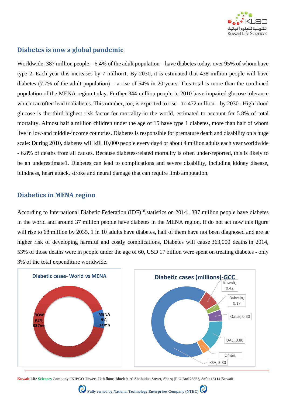

## <span id="page-14-0"></span>**Diabetes is now a global pandemic**.

Worldwide: 387 million people – 6.4% of the adult population – have diabetes today, over 95% of whom have type 2. Each year this increases by 7 million1. By 2030, it is estimated that 438 million people will have diabetes (7.7% of the adult population) – a rise of  $54\%$  in 20 years. This total is more than the combined population of the MENA region today. Further 344 million people in 2010 have impaired glucose tolerance which can often lead to diabetes. This number, too, is expected to rise – to 472 million – by 2030. High blood glucose is the third-highest risk factor for mortality in the world, estimated to account for 5.8% of total mortality. Almost half a million children under the age of 15 have type 1 diabetes, more than half of whom live in low-and middle-income countries. Diabetes is responsible for premature death and disability on a huge scale: During 2010, diabetes will kill 10,000 people every day4 or about 4 million adults each year worldwide - 6.8% of deaths from all causes. Because diabetes-related mortality is often under-reported, this is likely to be an underestimate1. Diabetes can lead to complications and severe disability, including kidney disease, blindness, heart attack, stroke and neural damage that can require limb amputation.

## <span id="page-14-1"></span>**Diabetics in MENA region**

According to International Diabetic Federation  $(IDF)^{10}$ , statistics on 2014., 387 million people have diabetes in the world and around 37 million people have diabetes in the MENA region, if do not act now this figure will rise to 68 million by 2035, 1 in 10 adults have diabetes, half of them have not been diagnosed and are at higher risk of developing harmful and costly complications, Diabetes will cause 363,000 deaths in 2014, 53% of those deaths were in people under the age of 60, USD 17 billion were spent on treating diabetes - only 3% of the total expenditure worldwide.



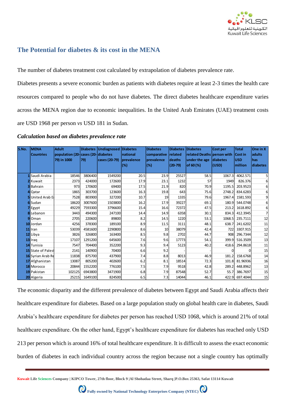

## <span id="page-15-0"></span>**The Potential for diabetes & its cost in the MENA**

The number of diabetes treatment cost calculated by extrapolation of diabetes prevalence rate. Diabetes presents a severe economic burden as patients with diabetes require at least 2-3 times the health care resources compared to people who do not have diabetes. The direct diabetes healthcare expenditure varies across the MENA region due to economic inequalities. In the United Arab Emirates (UAE) treatment costs are USD 1968 per person *vs* USD 181 in Sudan.

*Calculation based on diabetes prevalence rate*

| S.No. | <b>MENA</b>               | <b>Adult</b>                        | <b>Diabetes</b> | Undiagnosed   | <b>Diabetes</b> | <b>Diabetes</b> | <b>Diabetes</b>  | <b>Diabetes</b>            | Cost per | <b>Total</b>   | One in X |
|-------|---------------------------|-------------------------------------|-----------------|---------------|-----------------|-----------------|------------------|----------------------------|----------|----------------|----------|
|       | <b>Countries</b>          | population (20- cases (20- diabetes |                 |               | national        | comparative     | <b>I</b> related | related Deaths berson with |          | <b>Cost</b> in | adults   |
|       |                           | 79) in 1000                         | 79)             | cases (20-79) | prevalence      | prevalence      | <b>deaths</b>    | under the age              | diabetes | lusd           | has      |
|       |                           |                                     |                 |               | (%)             | (%)             | $(20-79)$        | of 60 (%)                  | (USD)    | million        | diabetes |
|       |                           |                                     |                 |               |                 |                 |                  |                            |          |                |          |
|       | Saudi Arabia              | 18546                               | 3806400         | 1549200       | 20.5            | 23.9            | 25527            | 58.5                       | 1067.3   | 4062.571       | 5        |
|       | 2 Kuwait                  | 2373                                | 424000          | 172600        | 17.9            | 23.1            | 1232             | 57                         | 1949     | 826.376        | 6        |
|       | <b>3</b> Bahrain          | 973                                 | 170600          | 69400         | 17.5            | 21.9            | 820              | 70.9                       | 1195.5   | 203.9523       | 6        |
|       | 4 Qatar                   | 1865                                | 303700          | 123600        | 16.3            | 19.8            | 643              | 75.6                       | 2748.2   | 834.6283       | 6        |
|       | <b>5</b> United Arab Er   | 7528                                | 803900          | 327200        | 10.7            | 19              | 1335             | 79.6                       | 1967.4   | 1581.593       | 9        |
|       | <b>6</b> Sudan            | 18620                               | 3007600         | 1503800       | 16.2            | 17.9            | 39227            | 69.1                       | 180.9    | 544.0748       | 6        |
|       | Egypt                     | 49229                               | 7593300         | 3796600       | 15.4            | 16.6            | 72372            | 47.5                       | 213.2    | 1618.892       | 6        |
|       | <b>8</b> Lebanon          | 3443                                | 494300          | 247100        | 14.4            | 14.9            | 6358             | 30.1                       | 834.3    | 412.3945       | 7        |
|       | 9 Oman                    | 2705                                | 220600          | 89800         | 8.2             | 14.5            | 1220             | 53.1                       | 1068.5   | 235.7111       | 12       |
|       | 10 Jordan                 | 4256                                | 378300          | 189100        | 8.9             | 11.5            | 3111             | 48.1                       | 638.7    | 241.6202       | 11       |
|       | 11 Iran                   | 53039                               | 4581600         | 2290800       | 8.6             | 10              | 38079            | 42.4                       | 722      | 3307.915       | 12       |
|       | 12 Libya                  | 3826                                | 326800          | 163400        | 8.5             | 9.8             | 2702             | 44.7                       | 908      | 296.7344       | 12       |
|       | 13 Iraq                   | 17107                               | 1291200         | 645600        | 7.6             | 9.6             | 17773            | 54.1                       | 399.9    | 516.3509       | 13       |
|       | 14 Tunisia                | 7547                                | 704400          | 352200        | 9.3             | 9.4             | 5123             | 40.2                       | 418.6    | 294.8618       | 11       |
|       | <b>15</b> State of Palest | 2141                                | 140900          | 70400         | 6.6             | 9.2             |                  |                            | O        |                | 15       |
|       | 16 Syrian Arab Re         | 11838                               | 875700          | 437900        | 7.4             | 8.8             | 8013             | 46.9                       | 181.2    | 158.6768       | 14       |
|       | 17 Afghanistan            | 13087                               | 805200          | 402600        | 6.2             | 8.1             | 18514            | 72.3                       | 101.8    | 81.96936       | 16       |
|       | 18 Morocco                | 20844                               | 1552200         | 776100        | 7.5             | 7.9             | 9518             | 42.8                       | 289.2    | 448.8962       | 13       |
|       | 19 Pakistan               | 102125                              | 6943800         | 3471900       | 6.8             | 7.9             | 87548            | 52.7                       | 55.7     | 386.7697       | 15       |
|       | 20 Algeria                | 25215                               | 1649100         | 824500        | 6.5             | 7.3             | 14044            | 46.1                       | 422.9    | 697.4044       | 15       |

The economic disparity and the different prevalence of diabetes between Egypt and Saudi Arabia affects their healthcare expenditure for diabetes. Based on a large population study on global health care in diabetes, Saudi Arabia's healthcare expenditure for diabetes per person has reached USD 1068, which is around 21% of total healthcare expenditure. On the other hand, Egypt's healthcare expenditure for diabetes has reached only USD 213 per person which is around 16% of total healthcare expenditure. It is difficult to assess the exact economic burden of diabetes in each individual country across the region because not a single country has optimally

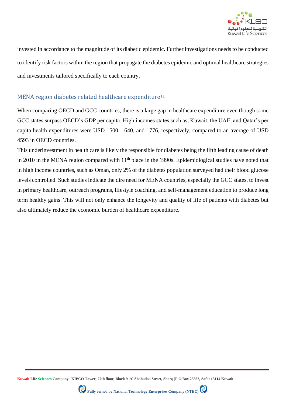

invested in accordance to the magnitude of its diabetic epidemic. Further investigations needs to be conducted to identify risk factors within the region that propagate the diabetes epidemic and optimal healthcare strategies and investments tailored specifically to each country.

## MENA region diabetes related healthcare expenditure<sup>11</sup>

When comparing OECD and GCC countries, there is a large gap in healthcare expenditure even though some GCC states surpass OECD's GDP per capita. High incomes states such as, Kuwait, the UAE, and Qatar's per capita health expenditures were USD 1500, 1640, and 1776, respectively, compared to an average of USD 4593 in OECD countries.

This underinvestment in health care is likely the responsible for diabetes being the fifth leading cause of death in 2010 in the MENA region compared with  $11<sup>th</sup>$  place in the 1990s. Epidemiological studies have noted that in high income countries, such as Oman, only 2% of the diabetes population surveyed had their blood glucose levels controlled. Such studies indicate the dire need for MENA countries, especially the GCC states, to invest in primary healthcare, outreach programs, lifestyle coaching, and self-management education to produce long term healthy gains. This will not only enhance the longevity and quality of life of patients with diabetes but also ultimately reduce the economic burden of healthcare expenditure.

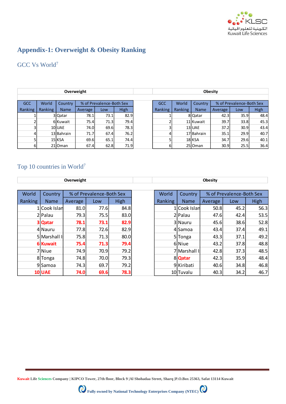

# <span id="page-17-0"></span>**Appendix-1: Overweight & Obesity Ranking**

<span id="page-17-1"></span>GCC Vs World<sup>7</sup>

|            |         |             | Overweight               |      |      |            |         |             | <b>Obesity</b> |                          |      |
|------------|---------|-------------|--------------------------|------|------|------------|---------|-------------|----------------|--------------------------|------|
|            |         |             |                          |      |      |            |         |             |                |                          |      |
| <b>GCC</b> | World   | Country     | % of Prevalence-Both Sex |      |      | <b>GCC</b> | World   | Country     |                | % of Prevalence-Both Sex |      |
| Ranking    | Ranking | <b>Name</b> | Average                  | Low  | High | Ranking    | Ranking | <b>Name</b> | <b>Average</b> | Low                      | High |
|            |         | 3 Qatar     | 78.1                     | 73.1 | 82.9 |            |         | 8 Qatar     | 42.3           | 35.9                     | 48.4 |
|            |         | 6 Kuwait    | 75.4                     | 71.3 | 79.4 |            |         | 11 Kuwait   | 39.7           | 33.8                     | 45.3 |
|            |         | 10 UAE      | 74.0                     | 69.6 | 78.3 |            |         | 13 UAE      | 37.2           | 30.9                     | 43.4 |
|            |         | 13 Bahrain  | 71.7                     | 67.4 | 76.2 |            |         | 17 Bahrain  | 35.1           | 29.9                     | 40.7 |
|            |         | 15 KSA      | 69.6                     | 65.1 | 74.4 |            |         | 18 KSA      | 34.7           | 29.6                     | 40.1 |
| 61         |         | 21 Oman     | 67.4                     | 62.8 | 71.9 | 6          |         | 25 Oman     | 30.9           | 25.5                     | 36.4 |

## <span id="page-17-2"></span>Top 10 countries in World<sup>7</sup>

| Overweight |              |         |                          |      |  |  |  |  |  |
|------------|--------------|---------|--------------------------|------|--|--|--|--|--|
|            |              |         |                          |      |  |  |  |  |  |
| World      | Country      |         | % of Prevalence-Both Sex |      |  |  |  |  |  |
| Ranking    | <b>Name</b>  | Average | Low                      | High |  |  |  |  |  |
|            | 1 Cook Islan | 81.0    | 77.6                     | 84.8 |  |  |  |  |  |
|            | 2 Palau      | 79.3    | 75.5                     | 83.0 |  |  |  |  |  |
|            | 3 Qatar      | 78.1    | 73.1                     | 82.9 |  |  |  |  |  |
|            | 4 Nauru      | 77.8    | 72.6                     | 82.9 |  |  |  |  |  |
|            | 5 Marshall I | 75.8    | 71.3                     | 80.0 |  |  |  |  |  |

**6 Kuwait 75.4 71.3 79.4** 6 Niue 43.2 37.8 48.8 7 Niue | 74.9 70.9 79.2 | 7 Marshall | 42.8 37.3 48.5 8|Tonga | 74.8| 70.0| 79.3| | 8|**Qatar** | 42.3| 35.9| 48.4 9|Samoa | 74.3| 69.7| 79.2| 9|Kiribati | 40.6| 34.8| 46.8 **10 UAE 74.0 69.6 78.3** 10 Tuvalu 40.3 34.2 46.7

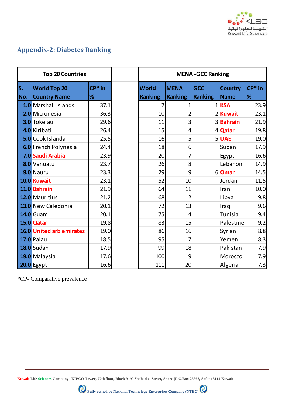

# <span id="page-18-0"></span>**Appendix-2: Diabetes Ranking**

|           | <b>Top 20 Countries</b>                    |              | <b>MENA-GCC Ranking</b> |                               |                              |                               |              |  |  |
|-----------|--------------------------------------------|--------------|-------------------------|-------------------------------|------------------------------|-------------------------------|--------------|--|--|
| S.<br>No. | <b>World Top 20</b><br><b>Country Name</b> | $CP*in$<br>% | World<br><b>Ranking</b> | <b>MENA</b><br><b>Ranking</b> | <b>GCC</b><br><b>Ranking</b> | <b>Country</b><br><b>Name</b> | $CP*in$<br>% |  |  |
|           | 1.0 Marshall Islands                       | 37.1         | 7                       | 1                             |                              | $1$ KSA                       | 23.9         |  |  |
|           | 2.0 Micronesia                             | 36.3         | 10                      | 2                             |                              | 2 <b>Kuwait</b>               | 23.1         |  |  |
|           | 3.0 Tokelau                                | 29.6         | 11                      | 3                             |                              | 3 <b>Bahrain</b>              | 21.9         |  |  |
|           | 4.0 Kiribati                               | 26.4         | 15                      | 4                             |                              | 4 Qatar                       | 19.8         |  |  |
|           | 5.0 Cook Islanda                           | 25.5         | 16                      | 5                             |                              | 5 <b>UAE</b>                  | 19.0         |  |  |
|           | <b>6.0</b> French Polynesia                | 24.4         | 18                      | 6                             |                              | Sudan                         | 17.9         |  |  |
|           | 7.0 Saudi Arabia                           | 23.9         | 20                      | 7                             |                              | Egypt                         | 16.6         |  |  |
|           | 8.0 Vanuatu                                | 23.7         | 26                      | 8                             |                              | Lebanon                       | 14.9         |  |  |
|           | 9.0 Nauru                                  | 23.3         | 29                      | 9                             |                              | 6 <b>Oman</b>                 | 14.5         |  |  |
|           | 10.0 Kuwait                                | 23.1         | 52                      | 10                            |                              | Jordan                        | 11.5         |  |  |
|           | 11.0 Bahrain                               | 21.9         | 64                      | 11                            |                              | Iran                          | 10.0         |  |  |
|           | 12.0 Mauritius                             | 21.2         | 68                      | 12                            |                              | Libya                         | 9.8          |  |  |
|           | 13.0 New Caledonia                         | 20.1         | 72                      | 13                            |                              | Iraq                          | 9.6          |  |  |
|           | 14.0 Guam                                  | 20.1         | 75                      | 14                            |                              | <b>Tunisia</b>                | 9.4          |  |  |
|           | 15.0 Qatar                                 | 19.8         | 83                      | 15                            |                              | Palestine                     | 9.2          |  |  |
|           | <b>16.0 United arb emirates</b>            | 19.0         | 86                      | 16                            |                              | Syrian                        | 8.8          |  |  |
|           | 17.0 Palau                                 | 18.5         | 95                      | 17                            |                              | Yemen                         | 8.3          |  |  |
|           | 18.0 Sudan                                 | 17.9         | 99                      | 18                            |                              | Pakistan                      | 7.9          |  |  |
|           | 19.0 Malaysia                              | 17.6         | 100                     | 19                            |                              | Morocco                       | 7.9          |  |  |
|           | 20.0 Egypt                                 | 16.6         | 111                     | 20                            |                              | Algeria                       | 7.3          |  |  |

\*CP- Comparative prevalence

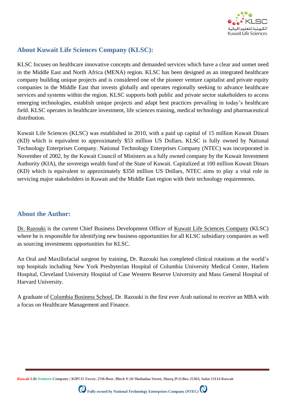

## <span id="page-19-0"></span>**About Kuwait Life Sciences Company (KLSC):**

KLSC focuses on healthcare innovative concepts and demanded services which have a clear and unmet need in the Middle East and North Africa (MENA) region. KLSC has been designed as an integrated healthcare company building unique projects and is considered one of the pioneer venture capitalist and private equity companies in the Middle East that invests globally and operates regionally seeking to advance healthcare services and systems within the region. KLSC supports both public and private sector stakeholders to access emerging technologies, establish unique projects and adapt best practices prevailing in today's healthcare field. KLSC operates in healthcare investment, life sciences training, medical technology and pharmaceutical distribution.

Kuwait Life Sciences (KLSC) was established in 2010, with a paid up capital of 15 million Kuwait Dinars (KD) which is equivalent to approximately \$53 million US Dollars. KLSC is fully owned by National Technology Enterprises Company. National Technology Enterprises Company (NTEC) was incorporated in November of 2002, by the Kuwait Council of Ministers as a fully owned company by the Kuwait Investment Authority (KIA), the sovereign wealth fund of the State of Kuwait. Capitalized at 100 million Kuwait Dinars (KD) which is equivalent to approximately \$350 million US Dollars, NTEC aims to play a vital role in servicing major stakeholders in Kuwait and the Middle East region with their technology requirements.

#### <span id="page-19-1"></span>**About the Author:**

Dr. [Razouki](http://kw.linkedin.com/in/razouki) is the current Chief Business Development Officer of Kuwait Life Sciences [Company](http://www.klsc.com.kw/) (KLSC) where he is responsible for identifying new business opportunities for all KLSC subsidiary companies as well as sourcing investments opportunities for KLSC.

An Oral and Maxillofacial surgeon by training, Dr. Razouki has completed clinical rotations at the world's top hospitals including New York Presbyterian Hospital of Columbia University Medical Center, Harlem Hospital, Cleveland University Hospital of Case Western Reserve University and Mass General Hospital of Harvard University.

A graduate of [Columbia](http://www7.gsb.columbia.edu/video/v/node/2567) Business School, Dr. Razouki is the first ever Arab national to receive an MBA with a focus on Healthcare Management and Finance.